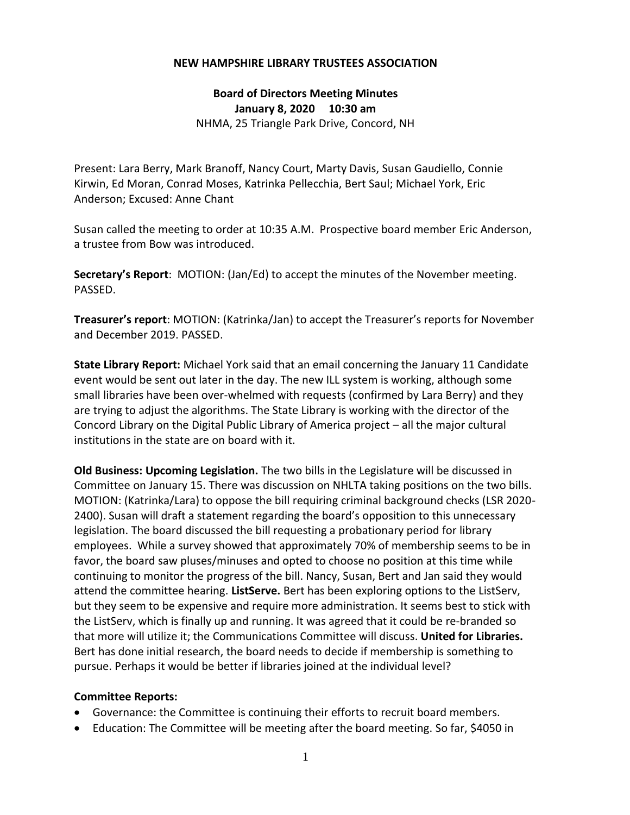## **NEW HAMPSHIRE LIBRARY TRUSTEES ASSOCIATION**

**Board of Directors Meeting Minutes January 8, 2020 10:30 am** NHMA, 25 Triangle Park Drive, Concord, NH

Present: Lara Berry, Mark Branoff, Nancy Court, Marty Davis, Susan Gaudiello, Connie Kirwin, Ed Moran, Conrad Moses, Katrinka Pellecchia, Bert Saul; Michael York, Eric Anderson; Excused: Anne Chant

Susan called the meeting to order at 10:35 A.M. Prospective board member Eric Anderson, a trustee from Bow was introduced.

**Secretary's Report**: MOTION: (Jan/Ed) to accept the minutes of the November meeting. PASSED.

**Treasurer's report**: MOTION: (Katrinka/Jan) to accept the Treasurer's reports for November and December 2019. PASSED.

**State Library Report:** Michael York said that an email concerning the January 11 Candidate event would be sent out later in the day. The new ILL system is working, although some small libraries have been over-whelmed with requests (confirmed by Lara Berry) and they are trying to adjust the algorithms. The State Library is working with the director of the Concord Library on the Digital Public Library of America project – all the major cultural institutions in the state are on board with it.

**Old Business: Upcoming Legislation.** The two bills in the Legislature will be discussed in Committee on January 15. There was discussion on NHLTA taking positions on the two bills. MOTION: (Katrinka/Lara) to oppose the bill requiring criminal background checks (LSR 2020- 2400). Susan will draft a statement regarding the board's opposition to this unnecessary legislation. The board discussed the bill requesting a probationary period for library employees. While a survey showed that approximately 70% of membership seems to be in favor, the board saw pluses/minuses and opted to choose no position at this time while continuing to monitor the progress of the bill. Nancy, Susan, Bert and Jan said they would attend the committee hearing. **ListServe.** Bert has been exploring options to the ListServ, but they seem to be expensive and require more administration. It seems best to stick with the ListServ, which is finally up and running. It was agreed that it could be re-branded so that more will utilize it; the Communications Committee will discuss. **United for Libraries.** Bert has done initial research, the board needs to decide if membership is something to pursue. Perhaps it would be better if libraries joined at the individual level?

## **Committee Reports:**

- Governance: the Committee is continuing their efforts to recruit board members.
- Education: The Committee will be meeting after the board meeting. So far, \$4050 in